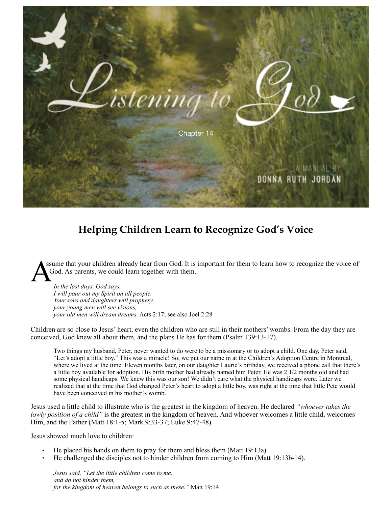

## **Helping Children Learn to Recognize God's Voice**

ssume that your children already hear from God. It is important for them to learn how to recognize the voice of God. As parents, we could learn together with them.

*In the last days, God says, I will pour out my Spirit on all people. Your sons and daughters will prophesy, your young men will see visions, your old men will dream dreams.* Acts 2:17; see also Joel 2:28

Children are so close to Jesus' heart, even the children who are still in their mothers' wombs. From the day they are conceived, God knew all about them, and the plans He has for them (Psalm 139:13-17).

Two things my husband, Peter, never wanted to do were to be a missionary or to adopt a child. One day, Peter said, "Let's adopt a little boy." This was a miracle! So, we put our name in at the Children's Adoption Centre in Montreal, where we lived at the time. Eleven months later, on our daughter Laurie's birthday, we received a phone call that there's a little boy available for adoption. His birth mother had already named him Peter. He was 2 1/2 months old and had some physical handicaps. We knew this was our son! We didn't care what the physical handicaps were. Later we realized that at the time that God changed Peter's heart to adopt a little boy, was right at the time that little Pete would have been conceived in his mother's womb.

Jesus used a little child to illustrate who is the greatest in the kingdom of heaven. He declared *"whoever takes the lowly position of a child"* is the greatest in the kingdom of heaven. And whoever welcomes a little child, welcomes Him, and the Father (Matt 18:1-5; Mark 9:33-37; Luke 9:47-48).

Jesus showed much love to children:

- He placed his hands on them to pray for them and bless them (Matt 19:13a).
- He challenged the disciples not to hinder children from coming to Him (Matt 19:13b-14).

*Jesus said, "Let the little children come to me, and do not hinder them, for the kingdom of heaven belongs to such as these."* Matt 19:14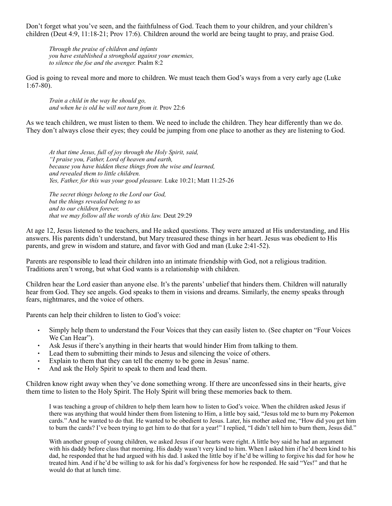Don't forget what you've seen, and the faithfulness of God. Teach them to your children, and your children's children (Deut 4:9, 11:18-21; Prov 17:6). Children around the world are being taught to pray, and praise God.

*Through the praise of children and infants you have established a stronghold against your enemies, to silence the foe and the avenger.* Psalm 8:2

God is going to reveal more and more to children. We must teach them God's ways from a very early age (Luke 1:67-80).

*Train a child in the way he should go, and when he is old he will not turn from it.* Prov 22:6

As we teach children, we must listen to them. We need to include the children. They hear differently than we do. They don't always close their eyes; they could be jumping from one place to another as they are listening to God.

*At that time Jesus, full of joy through the Holy Spirit, said, "I praise you, Father, Lord of heaven and earth, because you have hidden these things from the wise and learned, and revealed them to little children. Yes, Father, for this was your good pleasure.* Luke 10:21; Matt 11:25-26

*The secret things belong to the Lord our God, but the things revealed belong to us and to our children forever, that we may follow all the words of this law.* Deut 29:29

At age 12, Jesus listened to the teachers, and He asked questions. They were amazed at His understanding, and His answers. His parents didn't understand, but Mary treasured these things in her heart. Jesus was obedient to His parents, and grew in wisdom and stature, and favor with God and man (Luke 2:41-52).

Parents are responsible to lead their children into an intimate friendship with God, not a religious tradition. Traditions aren't wrong, but what God wants is a relationship with children.

Children hear the Lord easier than anyone else. It's the parents' unbelief that hinders them. Children will naturally hear from God. They see angels. God speaks to them in visions and dreams. Similarly, the enemy speaks through fears, nightmares, and the voice of others.

Parents can help their children to listen to God's voice:

- Simply help them to understand the Four Voices that they can easily listen to. (See chapter on "Four Voices We Can Hear").
- Ask Jesus if there's anything in their hearts that would hinder Him from talking to them.
- Lead them to submitting their minds to Jesus and silencing the voice of others.
- Explain to them that they can tell the enemy to be gone in Jesus' name.<br>• And ask the Holy Spirit to speak to them and lead them
- And ask the Holy Spirit to speak to them and lead them.

Children know right away when they've done something wrong. If there are unconfessed sins in their hearts, give them time to listen to the Holy Spirit. The Holy Spirit will bring these memories back to them.

I was teaching a group of children to help them learn how to listen to God's voice. When the children asked Jesus if there was anything that would hinder them from listening to Him, a little boy said, "Jesus told me to burn my Pokemon cards." And he wanted to do that. He wanted to be obedient to Jesus. Later, his mother asked me, "How did you get him to burn the cards? I've been trying to get him to do that for a year!" I replied, "I didn't tell him to burn them, Jesus did."

With another group of young children, we asked Jesus if our hearts were right. A little boy said he had an argument with his daddy before class that morning. His daddy wasn't very kind to him. When I asked him if he'd been kind to his dad, he responded that he had argued with his dad. I asked the little boy if he'd be willing to forgive his dad for how he treated him. And if he'd be willing to ask for his dad's forgiveness for how he responded. He said "Yes!" and that he would do that at lunch time.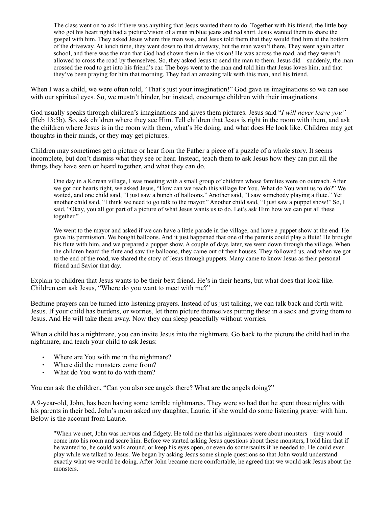The class went on to ask if there was anything that Jesus wanted them to do. Together with his friend, the little boy who got his heart right had a picture/vision of a man in blue jeans and red shirt. Jesus wanted them to share the gospel with him. They asked Jesus where this man was, and Jesus told them that they would find him at the bottom of the driveway. At lunch time, they went down to that driveway, but the man wasn't there. They went again after school, and there was the man that God had shown them in the vision! He was across the road, and they weren't allowed to cross the road by themselves. So, they asked Jesus to send the man to them. Jesus did – suddenly, the man crossed the road to get into his friend's car. The boys went to the man and told him that Jesus loves him, and that they've been praying for him that morning. They had an amazing talk with this man, and his friend.

When I was a child, we were often told, "That's just your imagination!" God gave us imaginations so we can see with our spiritual eyes. So, we mustn't hinder, but instead, encourage children with their imaginations.

God usually speaks through children's imaginations and gives them pictures. Jesus said "*I will never leave you"*  (Heb 13:5b). So, ask children where they see Him. Tell children that Jesus is right in the room with them, and ask the children where Jesus is in the room with them, what's He doing, and what does He look like. Children may get thoughts in their minds, or they may get pictures.

Children may sometimes get a picture or hear from the Father a piece of a puzzle of a whole story. It seems incomplete, but don't dismiss what they see or hear. Instead, teach them to ask Jesus how they can put all the things they have seen or heard together, and what they can do.

One day in a Korean village, I was meeting with a small group of children whose families were on outreach. After we got our hearts right, we asked Jesus, "How can we reach this village for You. What do You want us to do?" We waited, and one child said, "I just saw a bunch of balloons." Another said, "I saw somebody playing a flute." Yet another child said, "I think we need to go talk to the mayor." Another child said, "I just saw a puppet show!" So, I said, "Okay, you all got part of a picture of what Jesus wants us to do. Let's ask Him how we can put all these together."

We went to the mayor and asked if we can have a little parade in the village, and have a puppet show at the end. He gave his permission. We bought balloons. And it just happened that one of the parents could play a flute! He brought his flute with him, and we prepared a puppet show. A couple of days later, we went down through the village. When the children heard the flute and saw the balloons, they came out of their houses. They followed us, and when we got to the end of the road, we shared the story of Jesus through puppets. Many came to know Jesus as their personal friend and Savior that day.

Explain to children that Jesus wants to be their best friend. He's in their hearts, but what does that look like. Children can ask Jesus, "Where do you want to meet with me?"

Bedtime prayers can be turned into listening prayers. Instead of us just talking, we can talk back and forth with Jesus. If your child has burdens, or worries, let them picture themselves putting these in a sack and giving them to Jesus. And He will take them away. Now they can sleep peacefully without worries.

When a child has a nightmare, you can invite Jesus into the nightmare. Go back to the picture the child had in the nightmare, and teach your child to ask Jesus:

- Where are You with me in the nightmare?
- Where did the monsters come from?
- What do You want to do with them?

You can ask the children, "Can you also see angels there? What are the angels doing?"

A 9-year-old, John, has been having some terrible nightmares. They were so bad that he spent those nights with his parents in their bed. John's mom asked my daughter, Laurie, if she would do some listening prayer with him. Below is the account from Laurie.

"When we met, John was nervous and fidgety. He told me that his nightmares were about monsters—they would come into his room and scare him. Before we started asking Jesus questions about these monsters, I told him that if he wanted to, he could walk around, or keep his eyes open, or even do somersaults if he needed to. He could even play while we talked to Jesus. We began by asking Jesus some simple questions so that John would understand exactly what we would be doing. After John became more comfortable, he agreed that we would ask Jesus about the monsters.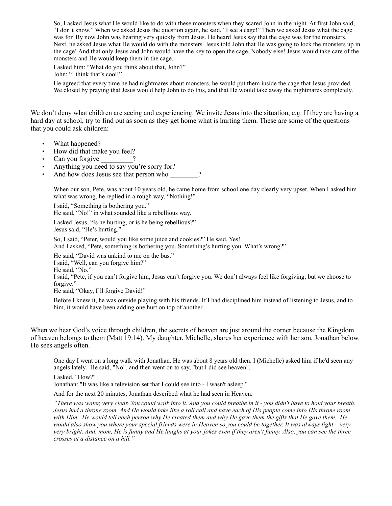So, I asked Jesus what He would like to do with these monsters when they scared John in the night. At first John said, "I don't know." When we asked Jesus the question again, he said, "I see a cage!" Then we asked Jesus what the cage was for. By now John was hearing very quickly from Jesus. He heard Jesus say that the cage was for the monsters. Next, he asked Jesus what He would do with the monsters. Jesus told John that He was going to lock the monsters up in the cage! And that only Jesus and John would have the key to open the cage. Nobody else! Jesus would take care of the monsters and He would keep them in the cage.

I asked him: "What do you think about that, John?" John: "I think that's cool!"

He agreed that every time he had nightmares about monsters, he would put them inside the cage that Jesus provided. We closed by praying that Jesus would help John to do this, and that He would take away the nightmares completely.

We don't deny what children are seeing and experiencing. We invite Jesus into the situation, e.g. If they are having a hard day at school, try to find out as soon as they get home what is hurting them. These are some of the questions that you could ask children:

- What happened?
- How did that make you feel?
- Can you forgive
- Anything you need to say you're sorry for?
- And how does Jesus see that person who  $\gamma$ ?

When our son, Pete, was about 10 years old, he came home from school one day clearly very upset. When I asked him what was wrong, he replied in a rough way, "Nothing!"

I said, "Something is bothering you."

He said, "No!" in what sounded like a rebellious way.

I asked Jesus, "Is he hurting, or is he being rebellious?" Jesus said, "He's hurting."

So, I said, "Peter, would you like some juice and cookies?" He said, Yes! And I asked, "Pete, something is bothering you. Something's hurting you. What's wrong?"

He said, "David was unkind to me on the bus."

I said, "Well, can you forgive him?"

He said, "No."

I said, "Pete, if you can't forgive him, Jesus can't forgive you. We don't always feel like forgiving, but we choose to forgive."

He said, "Okay, I'll forgive David!"

Before I knew it, he was outside playing with his friends. If I had disciplined him instead of listening to Jesus, and to him, it would have been adding one hurt on top of another.

When we hear God's voice through children, the secrets of heaven are just around the corner because the Kingdom of heaven belongs to them (Matt 19:14). My daughter, Michelle, shares her experience with her son, Jonathan below. He sees angels often.

One day I went on a long walk with Jonathan. He was about 8 years old then. I (Michelle) asked him if he'd seen any angels lately. He said, "No", and then went on to say, "but I did see heaven".

I asked, "How?"

Jonathan: "It was like a television set that I could see into - I wasn't asleep."

And for the next 20 minutes, Jonathan described what he had seen in Heaven.

*"There was water, very clear. You could walk into it. And you could breathe in it - you didn't have to hold your breath. Jesus had a throne room. And He would take like a roll call and have each of His people come into His throne room with Him. He would tell each person why He created them and why He gave them the gifts that He gave them. He would also show you where your special friends were in Heaven so you could be together. It was always light – very, very bright. And, mom, He is funny and He laughs at your jokes even if they aren't funny. Also, you can see the three crosses at a distance on a hill."*